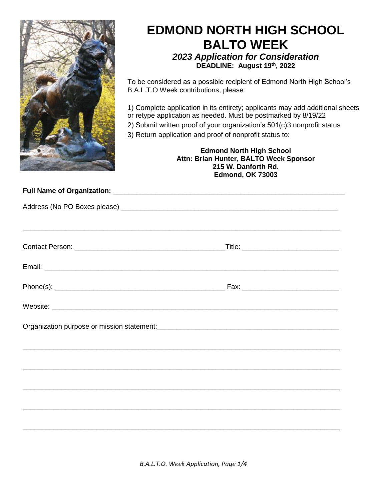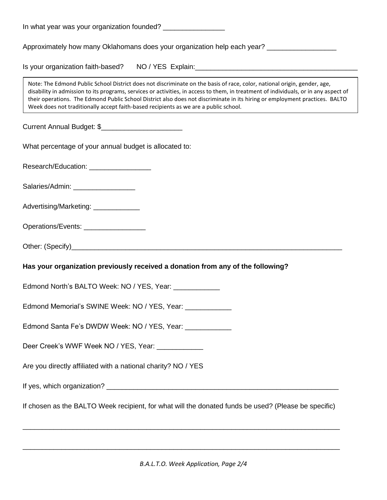| In what year was your organization founded? __________________                                                                                                                                                                                                                                                                                                                                                                                                                          |
|-----------------------------------------------------------------------------------------------------------------------------------------------------------------------------------------------------------------------------------------------------------------------------------------------------------------------------------------------------------------------------------------------------------------------------------------------------------------------------------------|
| Approximately how many Oklahomans does your organization help each year?                                                                                                                                                                                                                                                                                                                                                                                                                |
|                                                                                                                                                                                                                                                                                                                                                                                                                                                                                         |
| Note: The Edmond Public School District does not discriminate on the basis of race, color, national origin, gender, age,<br>disability in admission to its programs, services or activities, in access to them, in treatment of individuals, or in any aspect of<br>their operations. The Edmond Public School District also does not discriminate in its hiring or employment practices. BALTO<br>Week does not traditionally accept faith-based recipients as we are a public school. |
| Current Annual Budget: \$                                                                                                                                                                                                                                                                                                                                                                                                                                                               |
| What percentage of your annual budget is allocated to:                                                                                                                                                                                                                                                                                                                                                                                                                                  |
| Research/Education: ___________________                                                                                                                                                                                                                                                                                                                                                                                                                                                 |
| Salaries/Admin: ___________________                                                                                                                                                                                                                                                                                                                                                                                                                                                     |
| Advertising/Marketing: _____________                                                                                                                                                                                                                                                                                                                                                                                                                                                    |
| Operations/Events: __________________                                                                                                                                                                                                                                                                                                                                                                                                                                                   |
|                                                                                                                                                                                                                                                                                                                                                                                                                                                                                         |
| Has your organization previously received a donation from any of the following?                                                                                                                                                                                                                                                                                                                                                                                                         |
| Edmond North's BALTO Week: NO / YES, Year: ____________                                                                                                                                                                                                                                                                                                                                                                                                                                 |
| Edmond Memorial's SWINE Week: NO / YES, Year: ____________                                                                                                                                                                                                                                                                                                                                                                                                                              |
| Edmond Santa Fe's DWDW Week: NO / YES, Year: ____________                                                                                                                                                                                                                                                                                                                                                                                                                               |
| Deer Creek's WWF Week NO / YES, Year: _____________                                                                                                                                                                                                                                                                                                                                                                                                                                     |
| Are you directly affiliated with a national charity? NO / YES                                                                                                                                                                                                                                                                                                                                                                                                                           |
|                                                                                                                                                                                                                                                                                                                                                                                                                                                                                         |
| If chosen as the BALTO Week recipient, for what will the donated funds be used? (Please be specific)                                                                                                                                                                                                                                                                                                                                                                                    |
|                                                                                                                                                                                                                                                                                                                                                                                                                                                                                         |

\_\_\_\_\_\_\_\_\_\_\_\_\_\_\_\_\_\_\_\_\_\_\_\_\_\_\_\_\_\_\_\_\_\_\_\_\_\_\_\_\_\_\_\_\_\_\_\_\_\_\_\_\_\_\_\_\_\_\_\_\_\_\_\_\_\_\_\_\_\_\_\_\_\_\_\_\_\_\_\_\_\_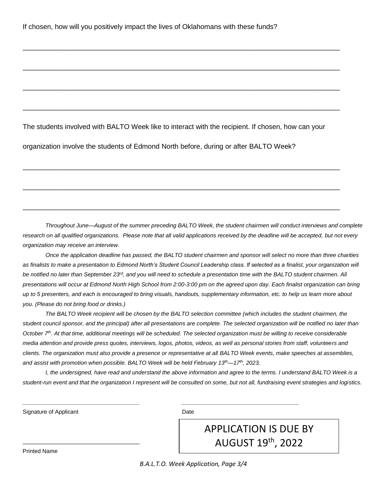The students involved with BALTO Week like to interact with the recipient. If chosen, how can your

\_\_\_\_\_\_\_\_\_\_\_\_\_\_\_\_\_\_\_\_\_\_\_\_\_\_\_\_\_\_\_\_\_\_\_\_\_\_\_\_\_\_\_\_\_\_\_\_\_\_\_\_\_\_\_\_\_\_\_\_\_\_\_\_\_\_\_\_\_\_\_\_\_\_\_\_\_\_\_\_\_\_

\_\_\_\_\_\_\_\_\_\_\_\_\_\_\_\_\_\_\_\_\_\_\_\_\_\_\_\_\_\_\_\_\_\_\_\_\_\_\_\_\_\_\_\_\_\_\_\_\_\_\_\_\_\_\_\_\_\_\_\_\_\_\_\_\_\_\_\_\_\_\_\_\_\_\_\_\_\_\_\_\_\_

\_\_\_\_\_\_\_\_\_\_\_\_\_\_\_\_\_\_\_\_\_\_\_\_\_\_\_\_\_\_\_\_\_\_\_\_\_\_\_\_\_\_\_\_\_\_\_\_\_\_\_\_\_\_\_\_\_\_\_\_\_\_\_\_\_\_\_\_\_\_\_\_\_\_\_\_\_\_\_\_\_\_

\_\_\_\_\_\_\_\_\_\_\_\_\_\_\_\_\_\_\_\_\_\_\_\_\_\_\_\_\_\_\_\_\_\_\_\_\_\_\_\_\_\_\_\_\_\_\_\_\_\_\_\_\_\_\_\_\_\_\_\_\_\_\_\_\_\_\_\_\_\_\_\_\_\_\_\_\_\_\_\_\_\_

\_\_\_\_\_\_\_\_\_\_\_\_\_\_\_\_\_\_\_\_\_\_\_\_\_\_\_\_\_\_\_\_\_\_\_\_\_\_\_\_\_\_\_\_\_\_\_\_\_\_\_\_\_\_\_\_\_\_\_\_\_\_\_\_\_\_\_\_\_\_\_\_\_\_\_\_\_\_\_\_\_\_

\_\_\_\_\_\_\_\_\_\_\_\_\_\_\_\_\_\_\_\_\_\_\_\_\_\_\_\_\_\_\_\_\_\_\_\_\_\_\_\_\_\_\_\_\_\_\_\_\_\_\_\_\_\_\_\_\_\_\_\_\_\_\_\_\_\_\_\_\_\_\_\_\_\_\_\_\_\_\_\_\_\_

\_\_\_\_\_\_\_\_\_\_\_\_\_\_\_\_\_\_\_\_\_\_\_\_\_\_\_\_\_\_\_\_\_\_\_\_\_\_\_\_\_\_\_\_\_\_\_\_\_\_\_\_\_\_\_\_\_\_\_\_\_\_\_\_\_\_\_\_\_\_\_\_\_\_\_\_\_\_\_\_\_\_

organization involve the students of Edmond North before, during or after BALTO Week?

*Throughout June—August of the summer preceding BALTO Week, the student chairmen will conduct interviews and complete research on all qualified organizations. Please note that all valid applications received by the deadline will be accepted, but not every organization may receive an interview.*

*Once the application deadline has passed, the BALTO student chairmen and sponsor will select no more than three charities as finalists to make a presentation to Edmond North's Student Council Leadership class. If selected as a finalist, your organization will*  be notified no later than September 23<sup>rd</sup>, and you will need to schedule a presentation time with the BALTO student chairmen. All *presentations will occur at Edmond North High School from 2:00-3:00 pm on the agreed upon day. Each finalist organization can bring up to 5 presenters, and each is encouraged to bring visuals, handouts, supplementary information, etc. to help us learn more about you. (Please do not bring food or drinks.)* 

*The BALTO Week recipient will be chosen by the BALTO selection committee (which includes the student chairmen, the student council sponsor, and the principal) after all presentations are complete. The selected organization will be notified no later than October 7 th. At that time, additional meetings will be scheduled. The selected organization must be willing to receive considerable media attention and provide press quotes, interviews, logos, photos, videos, as well as personal stories from staff, volunteers and clients. The organization must also provide a presence or representative at all BALTO Week events, make speeches at assemblies, and assist with promotion when possible. BALTO Week will be held February 13th—17 th , 2023.* 

*I, the undersigned, have read and understand the above information and agree to the terms. I understand BALTO Week is a student-run event and that the organization I represent will be consulted on some, but not all, fundraising event strategies and logistics.* 

Signature of Applicant Date Date Date

Printed Name

\_\_\_\_\_\_\_\_\_\_\_\_\_\_\_\_\_\_\_\_\_\_\_\_\_\_\_\_\_\_\_\_\_\_\_\_\_

*\_\_\_\_\_\_\_\_\_\_\_\_\_\_\_\_\_\_\_\_\_\_\_\_\_\_\_\_\_\_\_\_\_\_\_\_\_ \_\_\_\_\_\_\_\_\_\_\_\_\_\_\_\_\_\_\_\_\_\_\_\_\_\_\_\_\_\_\_\_\_\_\_\_\_* 

# APPLICATION IS DUE BY AUGUST 19th, 2022

*B.A.L.T.O. Week Application, Page 3/4*